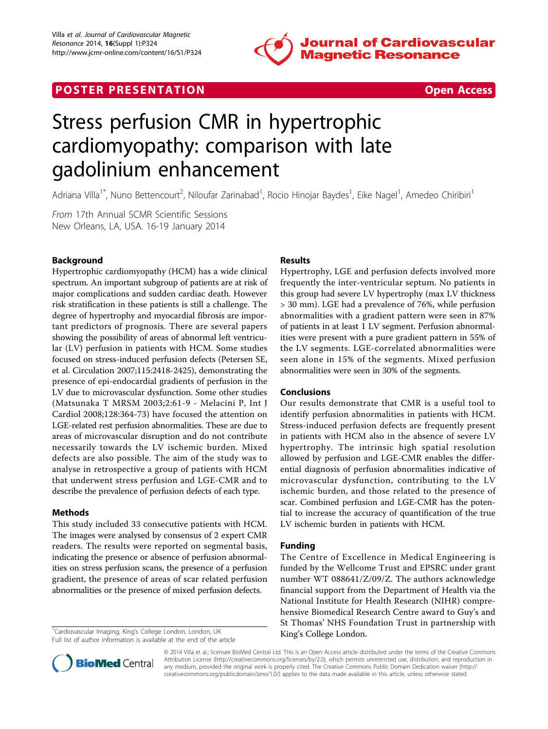

# **POSTER PRESENTATION CONSUMING THE SECOND CONSUMING THE SECOND CONSUMING THE SECOND CONSUMING THE SECOND CONSUMING THE SECOND CONSUMING THE SECOND CONSUMING THE SECOND CONSUMING THE SECOND CONSUMING THE SECOND CONSUMING**



# Stress perfusion CMR in hypertrophic cardiomyopathy: comparison with late gadolinium enhancement

Adriana Villa<sup>1\*</sup>, Nuno Bettencourt<sup>2</sup>, Niloufar Zarinabad<sup>1</sup>, Rocio Hinojar Baydes<sup>1</sup>, Eike Nagel<sup>1</sup>, Amedeo Chiribiri<sup>1</sup>

From 17th Annual SCMR Scientific Sessions New Orleans, LA, USA. 16-19 January 2014

### Background

Hypertrophic cardiomyopathy (HCM) has a wide clinical spectrum. An important subgroup of patients are at risk of major complications and sudden cardiac death. However risk stratification in these patients is still a challenge. The degree of hypertrophy and myocardial fibrosis are important predictors of prognosis. There are several papers showing the possibility of areas of abnormal left ventricular (LV) perfusion in patients with HCM. Some studies focused on stress-induced perfusion defects (Petersen SE, et al. Circulation 2007;115:2418-2425), demonstrating the presence of epi-endocardial gradients of perfusion in the LV due to microvascular dysfunction. Some other studies (Matsunaka T MRSM 2003;2:61-9 - Melacini P, Int J Cardiol 2008;128:364-73) have focused the attention on LGE-related rest perfusion abnormalities. These are due to areas of microvascular disruption and do not contribute necessarily towards the LV ischemic burden. Mixed defects are also possible. The aim of the study was to analyse in retrospective a group of patients with HCM that underwent stress perfusion and LGE-CMR and to describe the prevalence of perfusion defects of each type.

#### Methods

This study included 33 consecutive patients with HCM. The images were analysed by consensus of 2 expert CMR readers. The results were reported on segmental basis, indicating the presence or absence of perfusion abnormalities on stress perfusion scans, the presence of a perfusion gradient, the presence of areas of scar related perfusion abnormalities or the presence of mixed perfusion defects.

<sup>1</sup>Cardiovascular Imaging, King's College London, London, UK<br>Full literate when information is purifield at the and of the articles of the **State of the State of the State of the State** 

Full list of author information is available at the end of the article

## Results

Hypertrophy, LGE and perfusion defects involved more frequently the inter-ventricular septum. No patients in this group had severe LV hypertrophy (max LV thickness > 30 mm). LGE had a prevalence of 76%, while perfusion abnormalities with a gradient pattern were seen in 87% of patients in at least 1 LV segment. Perfusion abnormalities were present with a pure gradient pattern in 55% of the LV segments. LGE-correlated abnormalities were seen alone in 15% of the segments. Mixed perfusion abnormalities were seen in 30% of the segments.

#### Conclusions

Our results demonstrate that CMR is a useful tool to identify perfusion abnormalities in patients with HCM. Stress-induced perfusion defects are frequently present in patients with HCM also in the absence of severe LV hypertrophy. The intrinsic high spatial resolution allowed by perfusion and LGE-CMR enables the differential diagnosis of perfusion abnormalities indicative of microvascular dysfunction, contributing to the LV ischemic burden, and those related to the presence of scar. Combined perfusion and LGE-CMR has the potential to increase the accuracy of quantification of the true LV ischemic burden in patients with HCM.

#### Funding

The Centre of Excellence in Medical Engineering is funded by the Wellcome Trust and EPSRC under grant number WT 088641/Z/09/Z. The authors acknowledge financial support from the Department of Health via the National Institute for Health Research (NIHR) comprehensive Biomedical Research Centre award to Guy's and St Thomas' NHS Foundation Trust in partnership with



© 2014 Villa et al.; licensee BioMed Central Ltd. This is an Open Access article distributed under the terms of the Creative Commons Attribution License [\(http://creativecommons.org/licenses/by/2.0](http://creativecommons.org/licenses/by/2.0)), which permits unrestricted use, distribution, and reproduction in any medium, provided the original work is properly cited. The Creative Commons Public Domain Dedication waiver [\(http://](http://creativecommons.org/publicdomain/zero/1.0/) [creativecommons.org/publicdomain/zero/1.0/](http://creativecommons.org/publicdomain/zero/1.0/)) applies to the data made available in this article, unless otherwise stated.